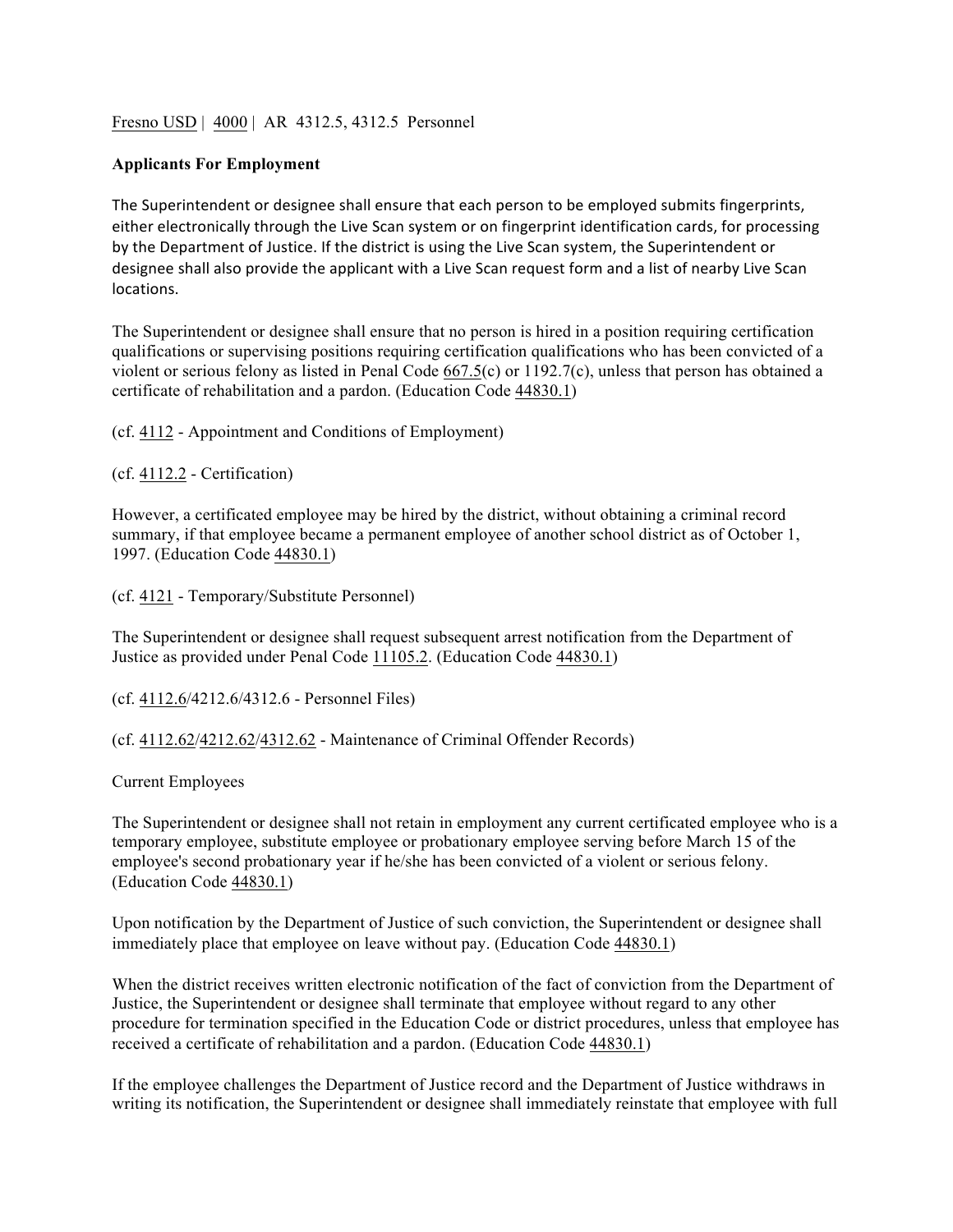Fresno USD | 4000 | AR 4312.5, 4312.5 Personnel

## **Applicants For Employment**

The Superintendent or designee shall ensure that each person to be employed submits fingerprints, either electronically through the Live Scan system or on fingerprint identification cards, for processing by the Department of Justice. If the district is using the Live Scan system, the Superintendent or designee shall also provide the applicant with a Live Scan request form and a list of nearby Live Scan locations.

The Superintendent or designee shall ensure that no person is hired in a position requiring certification qualifications or supervising positions requiring certification qualifications who has been convicted of a violent or serious felony as listed in Penal Code 667.5(c) or 1192.7(c), unless that person has obtained a certificate of rehabilitation and a pardon. (Education Code 44830.1)

(cf. 4112 - Appointment and Conditions of Employment)

(cf. 4112.2 - Certification)

However, a certificated employee may be hired by the district, without obtaining a criminal record summary, if that employee became a permanent employee of another school district as of October 1, 1997. (Education Code 44830.1)

(cf. 4121 - Temporary/Substitute Personnel)

The Superintendent or designee shall request subsequent arrest notification from the Department of Justice as provided under Penal Code 11105.2. (Education Code 44830.1)

(cf. 4112.6/4212.6/4312.6 - Personnel Files)

(cf. 4112.62/4212.62/4312.62 - Maintenance of Criminal Offender Records)

Current Employees

The Superintendent or designee shall not retain in employment any current certificated employee who is a temporary employee, substitute employee or probationary employee serving before March 15 of the employee's second probationary year if he/she has been convicted of a violent or serious felony. (Education Code 44830.1)

Upon notification by the Department of Justice of such conviction, the Superintendent or designee shall immediately place that employee on leave without pay. (Education Code 44830.1)

When the district receives written electronic notification of the fact of conviction from the Department of Justice, the Superintendent or designee shall terminate that employee without regard to any other procedure for termination specified in the Education Code or district procedures, unless that employee has received a certificate of rehabilitation and a pardon. (Education Code 44830.1)

If the employee challenges the Department of Justice record and the Department of Justice withdraws in writing its notification, the Superintendent or designee shall immediately reinstate that employee with full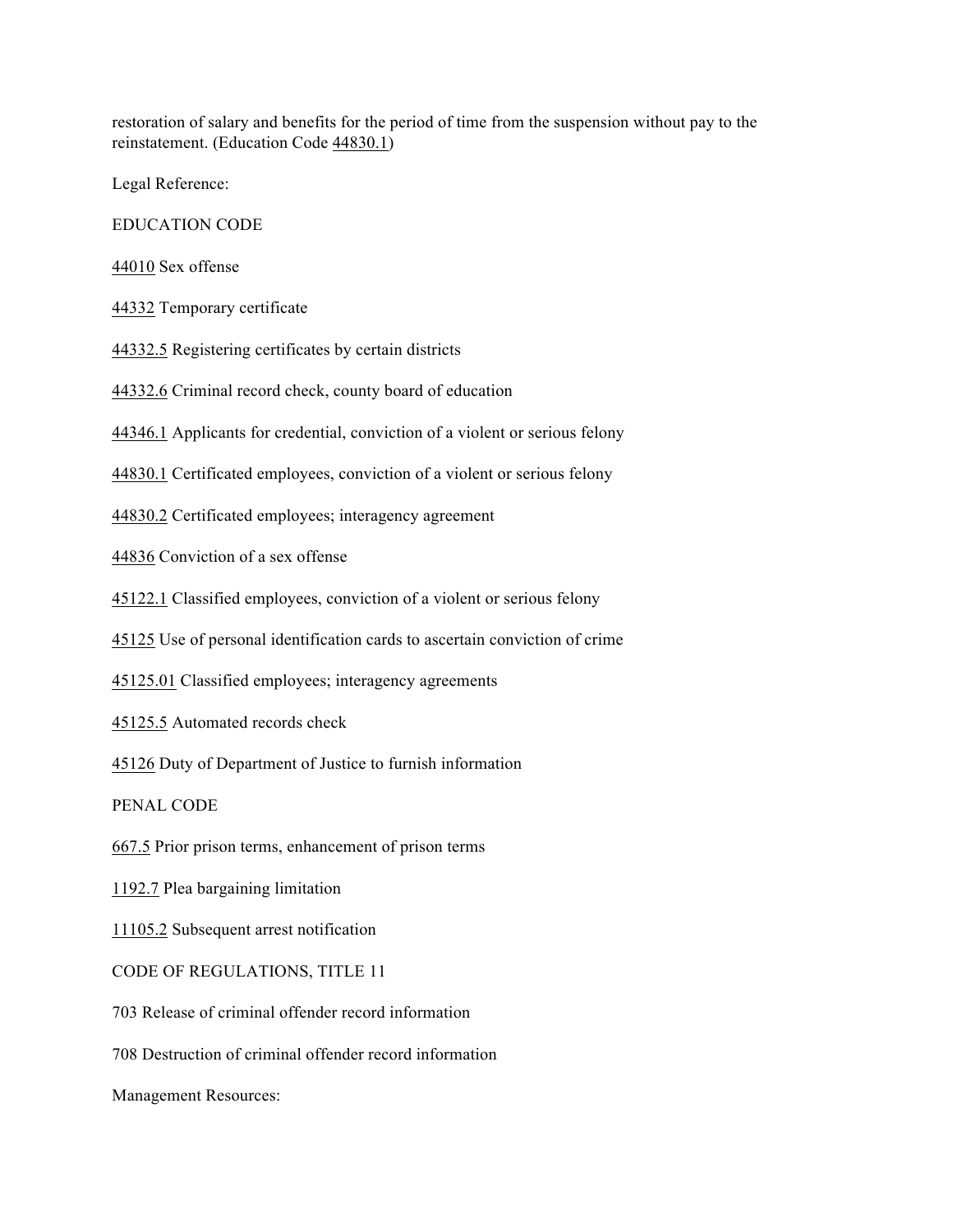restoration of salary and benefits for the period of time from the suspension without pay to the reinstatement. (Education Code 44830.1)

Legal Reference:

EDUCATION CODE

44010 Sex offense

44332 Temporary certificate

44332.5 Registering certificates by certain districts

44332.6 Criminal record check, county board of education

44346.1 Applicants for credential, conviction of a violent or serious felony

44830.1 Certificated employees, conviction of a violent or serious felony

44830.2 Certificated employees; interagency agreement

44836 Conviction of a sex offense

45122.1 Classified employees, conviction of a violent or serious felony

45125 Use of personal identification cards to ascertain conviction of crime

45125.01 Classified employees; interagency agreements

45125.5 Automated records check

45126 Duty of Department of Justice to furnish information

PENAL CODE

667.5 Prior prison terms, enhancement of prison terms

1192.7 Plea bargaining limitation

11105.2 Subsequent arrest notification

CODE OF REGULATIONS, TITLE 11

703 Release of criminal offender record information

708 Destruction of criminal offender record information

Management Resources: